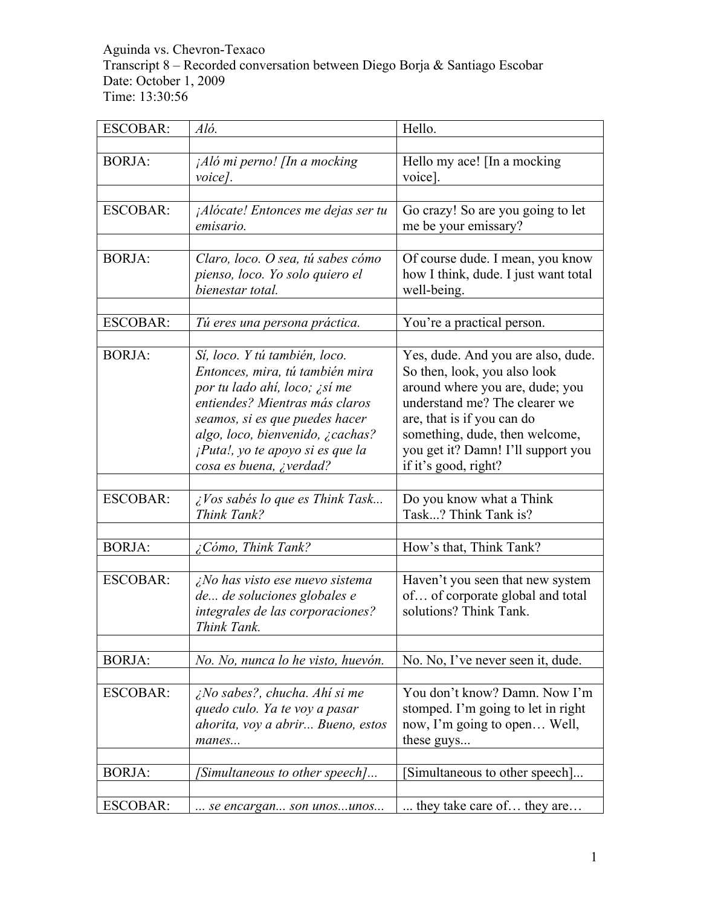Aguinda vs. Chevron-Texaco Transcript 8 – Recorded conversation between Diego Borja & Santiago Escobar Date: October 1, 2009 Time: 13:30:56

| <b>ESCOBAR:</b> | Aló.                                                                                                                                                                                                                                                                     | Hello.                                                                                                                                                                                                                                                               |
|-----------------|--------------------------------------------------------------------------------------------------------------------------------------------------------------------------------------------------------------------------------------------------------------------------|----------------------------------------------------------------------------------------------------------------------------------------------------------------------------------------------------------------------------------------------------------------------|
|                 |                                                                                                                                                                                                                                                                          |                                                                                                                                                                                                                                                                      |
| <b>BORJA:</b>   | ¡Aló mi perno! [In a mocking<br>voice].                                                                                                                                                                                                                                  | Hello my ace! [In a mocking<br>voice].                                                                                                                                                                                                                               |
|                 |                                                                                                                                                                                                                                                                          |                                                                                                                                                                                                                                                                      |
| <b>ESCOBAR:</b> | <i>Alócate!</i> Entonces me dejas ser tu<br>emisario.                                                                                                                                                                                                                    | Go crazy! So are you going to let<br>me be your emissary?                                                                                                                                                                                                            |
|                 |                                                                                                                                                                                                                                                                          |                                                                                                                                                                                                                                                                      |
| <b>BORJA:</b>   | Claro, loco. O sea, tú sabes cómo<br>pienso, loco. Yo solo quiero el<br>bienestar total.                                                                                                                                                                                 | Of course dude. I mean, you know<br>how I think, dude. I just want total<br>well-being.                                                                                                                                                                              |
|                 |                                                                                                                                                                                                                                                                          |                                                                                                                                                                                                                                                                      |
| <b>ESCOBAR:</b> | Tú eres una persona práctica.                                                                                                                                                                                                                                            | You're a practical person.                                                                                                                                                                                                                                           |
| <b>BORJA:</b>   | Sí, loco. Y tú también, loco.<br>Entonces, mira, tú también mira<br>por tu lado ahí, loco; ¿sí me<br>entiendes? Mientras más claros<br>seamos, si es que puedes hacer<br>algo, loco, bienvenido, ¿cachas?<br>¡Puta!, yo te apoyo si es que la<br>cosa es buena, ¿verdad? | Yes, dude. And you are also, dude.<br>So then, look, you also look<br>around where you are, dude; you<br>understand me? The clearer we<br>are, that is if you can do<br>something, dude, then welcome,<br>you get it? Damn! I'll support you<br>if it's good, right? |
|                 |                                                                                                                                                                                                                                                                          |                                                                                                                                                                                                                                                                      |
| <b>ESCOBAR:</b> | ¿Vos sabés lo que es Think Task<br>Think Tank?                                                                                                                                                                                                                           | Do you know what a Think<br>Task? Think Tank is?                                                                                                                                                                                                                     |
|                 |                                                                                                                                                                                                                                                                          |                                                                                                                                                                                                                                                                      |
| <b>BORJA:</b>   | Cómo, Think Tank?                                                                                                                                                                                                                                                        | How's that, Think Tank?                                                                                                                                                                                                                                              |
| <b>ESCOBAR:</b> | <i>iNo has visto ese nuevo sistema</i><br>de de soluciones globales e<br>integrales de las corporaciones?<br>Think Tank.                                                                                                                                                 | Haven't you seen that new system<br>of of corporate global and total<br>solutions? Think Tank.                                                                                                                                                                       |
| <b>BORJA:</b>   | No. No, nunca lo he visto, huevón.                                                                                                                                                                                                                                       | No. No, I've never seen it, dude.                                                                                                                                                                                                                                    |
| <b>ESCOBAR:</b> | ¿No sabes?, chucha. Ahí si me<br>quedo culo. Ya te voy a pasar<br>ahorita, voy a abrir Bueno, estos<br>manes                                                                                                                                                             | You don't know? Damn. Now I'm<br>stomped. I'm going to let in right<br>now, I'm going to open Well,<br>these guys                                                                                                                                                    |
| <b>BORJA:</b>   | Simultaneous to other speech]                                                                                                                                                                                                                                            | [Simultaneous to other speech]                                                                                                                                                                                                                                       |
| <b>ESCOBAR:</b> | se encargan son unosunos                                                                                                                                                                                                                                                 | they take care of they are                                                                                                                                                                                                                                           |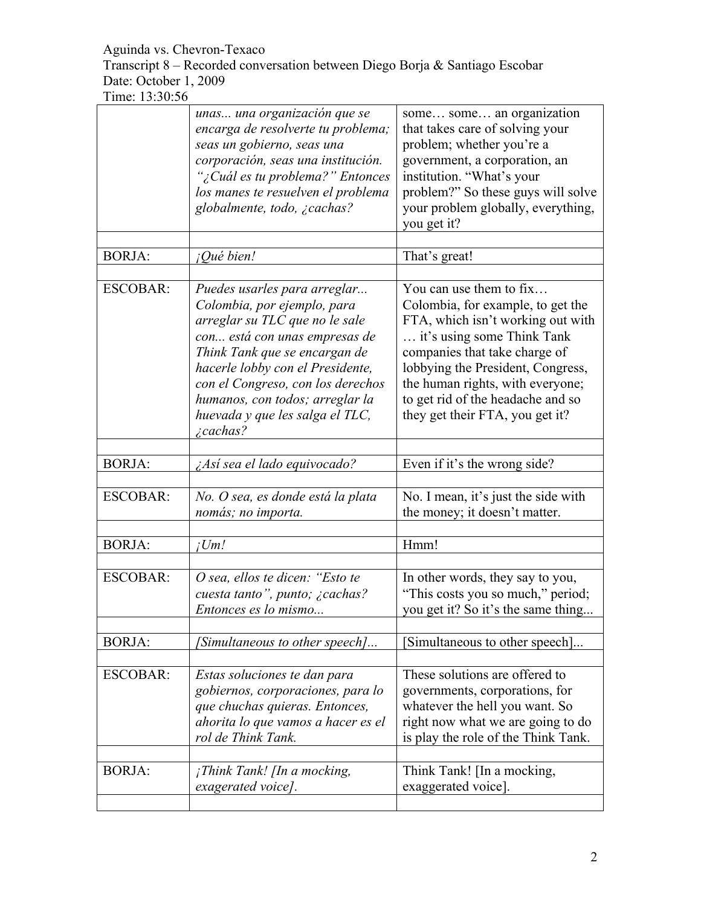Transcript 8 – Recorded conversation between Diego Borja & Santiago Escobar Date: October 1, 2009

|                 | unas una organización que se<br>encarga de resolverte tu problema;<br>seas un gobierno, seas una<br>corporación, seas una institución.<br>"¿Cuál es tu problema?" Entonces<br>los manes te resuelven el problema<br>globalmente, todo, ¿cachas?                                                                                    | some some an organization<br>that takes care of solving your<br>problem; whether you're a<br>government, a corporation, an<br>institution. "What's your<br>problem?" So these guys will solve<br>your problem globally, everything,<br>you get it?                                                                |
|-----------------|------------------------------------------------------------------------------------------------------------------------------------------------------------------------------------------------------------------------------------------------------------------------------------------------------------------------------------|-------------------------------------------------------------------------------------------------------------------------------------------------------------------------------------------------------------------------------------------------------------------------------------------------------------------|
| <b>BORJA:</b>   | ¡Qué bien!                                                                                                                                                                                                                                                                                                                         | That's great!                                                                                                                                                                                                                                                                                                     |
| <b>ESCOBAR:</b> | Puedes usarles para arreglar<br>Colombia, por ejemplo, para<br>arreglar su TLC que no le sale<br>con está con unas empresas de<br>Think Tank que se encargan de<br>hacerle lobby con el Presidente,<br>con el Congreso, con los derechos<br>humanos, con todos; arreglar la<br>huevada y que les salga el TLC,<br><i>i</i> cachas? | You can use them to fix<br>Colombia, for example, to get the<br>FTA, which isn't working out with<br>it's using some Think Tank<br>companies that take charge of<br>lobbying the President, Congress,<br>the human rights, with everyone;<br>to get rid of the headache and so<br>they get their FTA, you get it? |
| <b>BORJA:</b>   | ¿Así sea el lado equivocado?                                                                                                                                                                                                                                                                                                       | Even if it's the wrong side?                                                                                                                                                                                                                                                                                      |
| <b>ESCOBAR:</b> | No. O sea, es donde está la plata<br>nomás; no importa.                                                                                                                                                                                                                                                                            | No. I mean, it's just the side with<br>the money; it doesn't matter.                                                                                                                                                                                                                                              |
| <b>BORJA:</b>   | iUm!                                                                                                                                                                                                                                                                                                                               | Hmm!                                                                                                                                                                                                                                                                                                              |
| <b>ESCOBAR:</b> | O sea, ellos te dicen: "Esto te<br>cuesta tanto", punto; ¿cachas?<br>Entonces es lo mismo                                                                                                                                                                                                                                          | In other words, they say to you,<br>"This costs you so much," period;<br>you get it? So it's the same thing                                                                                                                                                                                                       |
| <b>BORJA:</b>   | [Simultaneous to other speech]                                                                                                                                                                                                                                                                                                     | Simultaneous to other speech]                                                                                                                                                                                                                                                                                     |
| <b>ESCOBAR:</b> | Estas soluciones te dan para<br>gobiernos, corporaciones, para lo<br>que chuchas quieras. Entonces,<br>ahorita lo que vamos a hacer es el<br>rol de Think Tank.                                                                                                                                                                    | These solutions are offered to<br>governments, corporations, for<br>whatever the hell you want. So<br>right now what we are going to do<br>is play the role of the Think Tank.                                                                                                                                    |
| <b>BORJA:</b>   | $i$ Think Tank! [In a mocking,<br>exagerated voice].                                                                                                                                                                                                                                                                               | Think Tank! [In a mocking,<br>exaggerated voice].                                                                                                                                                                                                                                                                 |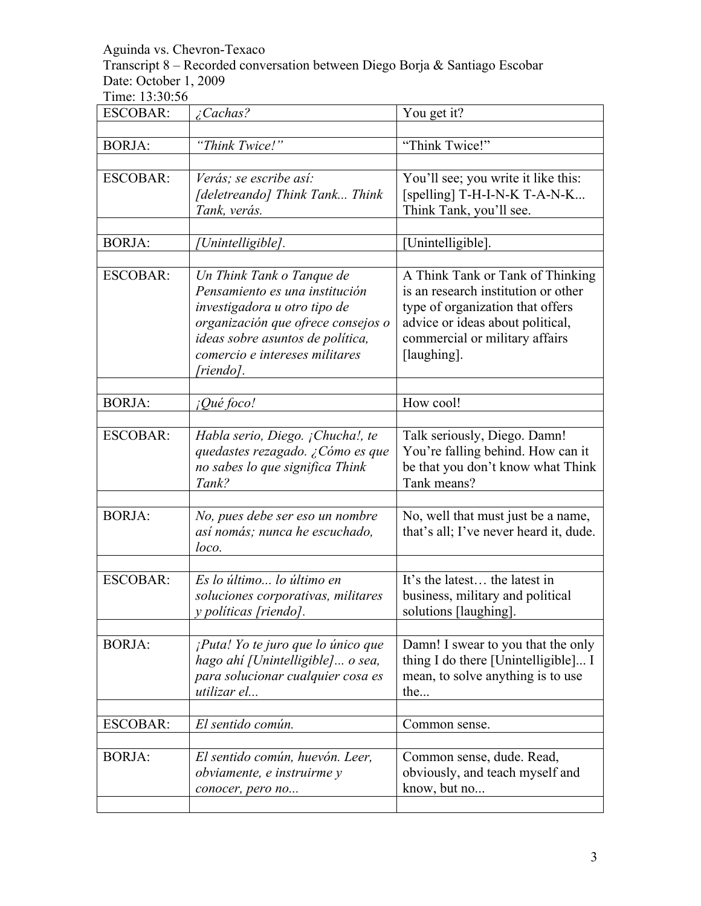Transcript 8 – Recorded conversation between Diego Borja & Santiago Escobar Date: October 1, 2009

| <b>ESCOBAR:</b> | ¿Cachas?                                                                                                                                                                                                             | You get it?                                                                                                                                                                                      |
|-----------------|----------------------------------------------------------------------------------------------------------------------------------------------------------------------------------------------------------------------|--------------------------------------------------------------------------------------------------------------------------------------------------------------------------------------------------|
| <b>BORJA:</b>   | "Think Twice!"                                                                                                                                                                                                       | "Think Twice!"                                                                                                                                                                                   |
| <b>ESCOBAR:</b> | Verás; se escribe así:<br>[deletreando] Think Tank Think<br>Tank, verás.                                                                                                                                             | You'll see; you write it like this:<br>[spelling] T-H-I-N-K T-A-N-K<br>Think Tank, you'll see.                                                                                                   |
| <b>BORJA:</b>   | Unintelligible].                                                                                                                                                                                                     | [Unintelligible].                                                                                                                                                                                |
| <b>ESCOBAR:</b> | Un Think Tank o Tanque de<br>Pensamiento es una institución<br>investigadora u otro tipo de<br>organización que ofrece consejos o<br>ideas sobre asuntos de política,<br>comercio e intereses militares<br>[riendo]. | A Think Tank or Tank of Thinking<br>is an research institution or other<br>type of organization that offers<br>advice or ideas about political,<br>commercial or military affairs<br>[laughing]. |
| <b>BORJA:</b>   | ¡Qué foco!                                                                                                                                                                                                           | How cool!                                                                                                                                                                                        |
| <b>ESCOBAR:</b> | Habla serio, Diego. ¡Chucha!, te<br>quedastes rezagado. ¿Cómo es que<br>no sabes lo que significa Think<br>Tank?                                                                                                     | Talk seriously, Diego. Damn!<br>You're falling behind. How can it<br>be that you don't know what Think<br>Tank means?                                                                            |
| <b>BORJA:</b>   | No, pues debe ser eso un nombre<br>así nomás; nunca he escuchado,<br>loco.                                                                                                                                           | No, well that must just be a name,<br>that's all; I've never heard it, dude.                                                                                                                     |
| <b>ESCOBAR:</b> | Es lo último lo último en<br>soluciones corporativas, militares<br>y políticas [riendo].                                                                                                                             | It's the latest the latest in<br>business, military and political<br>solutions [laughing].                                                                                                       |
| <b>BORJA:</b>   | ¡Puta! Yo te juro que lo único que<br>hago ahí [Unintelligible] o sea,<br>para solucionar cualquier cosa es<br>utilizar el                                                                                           | Damn! I swear to you that the only<br>thing I do there [Unintelligible] I<br>mean, to solve anything is to use<br>the                                                                            |
| <b>ESCOBAR:</b> | El sentido común.                                                                                                                                                                                                    | Common sense.                                                                                                                                                                                    |
| <b>BORJA:</b>   | El sentido común, huevón. Leer,<br>obviamente, e instruirme y<br>conocer, pero no                                                                                                                                    | Common sense, dude. Read,<br>obviously, and teach myself and<br>know, but no                                                                                                                     |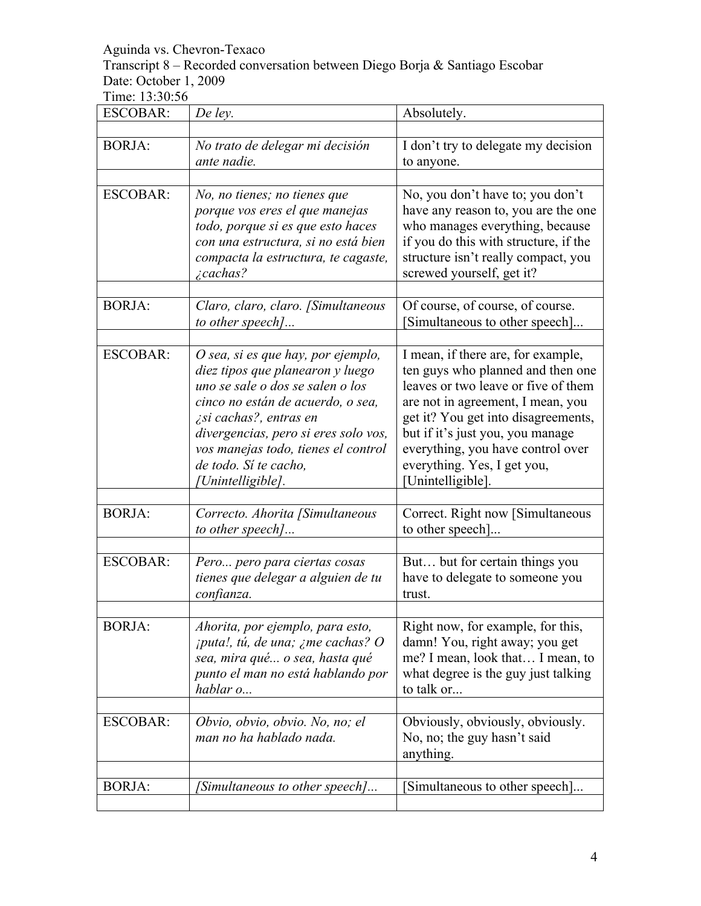Transcript 8 – Recorded conversation between Diego Borja & Santiago Escobar Date: October 1, 2009

| <b>ESCOBAR:</b> | De ley.                                                                                                                                                                                                                                                                                                | Absolutely.                                                                                                                                                                                                                                                                                                             |
|-----------------|--------------------------------------------------------------------------------------------------------------------------------------------------------------------------------------------------------------------------------------------------------------------------------------------------------|-------------------------------------------------------------------------------------------------------------------------------------------------------------------------------------------------------------------------------------------------------------------------------------------------------------------------|
| <b>BORJA:</b>   | No trato de delegar mi decisión<br>ante nadie.                                                                                                                                                                                                                                                         | I don't try to delegate my decision<br>to anyone.                                                                                                                                                                                                                                                                       |
| <b>ESCOBAR:</b> | No, no tienes; no tienes que<br>porque vos eres el que manejas<br>todo, porque si es que esto haces<br>con una estructura, si no está bien<br>compacta la estructura, te cagaste,<br>$\zeta$ cachas?                                                                                                   | No, you don't have to; you don't<br>have any reason to, you are the one<br>who manages everything, because<br>if you do this with structure, if the<br>structure isn't really compact, you<br>screwed yourself, get it?                                                                                                 |
| <b>BORJA:</b>   | Claro, claro, claro. [Simultaneous<br>to other speech]                                                                                                                                                                                                                                                 | Of course, of course, of course.<br>Simultaneous to other speech]                                                                                                                                                                                                                                                       |
| <b>ESCOBAR:</b> | O sea, si es que hay, por ejemplo,<br>diez tipos que planearon y luego<br>uno se sale o dos se salen o los<br>cinco no están de acuerdo, o sea,<br>¿si cachas?, entras en<br>divergencias, pero si eres solo vos,<br>vos manejas todo, tienes el control<br>de todo. Si te cacho,<br>[Unintelligible]. | I mean, if there are, for example,<br>ten guys who planned and then one<br>leaves or two leave or five of them<br>are not in agreement, I mean, you<br>get it? You get into disagreements,<br>but if it's just you, you manage<br>everything, you have control over<br>everything. Yes, I get you,<br>[Unintelligible]. |
| <b>BORJA:</b>   | Correcto. Ahorita [Simultaneous<br>to other speech]                                                                                                                                                                                                                                                    | Correct. Right now [Simultaneous<br>to other speech]                                                                                                                                                                                                                                                                    |
| <b>ESCOBAR:</b> | Pero pero para ciertas cosas<br>tienes que delegar a alguien de tu<br>confianza.                                                                                                                                                                                                                       | But but for certain things you<br>have to delegate to someone you<br>trust.                                                                                                                                                                                                                                             |
| <b>BORJA:</b>   | Ahorita, por ejemplo, para esto,<br><i>iputa!, tú, de una; ¿me cachas? O</i><br>sea, mira qué o sea, hasta qué<br>punto el man no está hablando por<br>hablar o                                                                                                                                        | Right now, for example, for this,<br>damn! You, right away; you get<br>me? I mean, look that I mean, to<br>what degree is the guy just talking<br>to talk or                                                                                                                                                            |
| <b>ESCOBAR:</b> | Obvio, obvio, obvio. No, no; el<br>man no ha hablado nada.                                                                                                                                                                                                                                             | Obviously, obviously, obviously.<br>No, no; the guy hasn't said<br>anything.                                                                                                                                                                                                                                            |
| <b>BORJA:</b>   | [Simultaneous to other speech]                                                                                                                                                                                                                                                                         | Simultaneous to other speech]                                                                                                                                                                                                                                                                                           |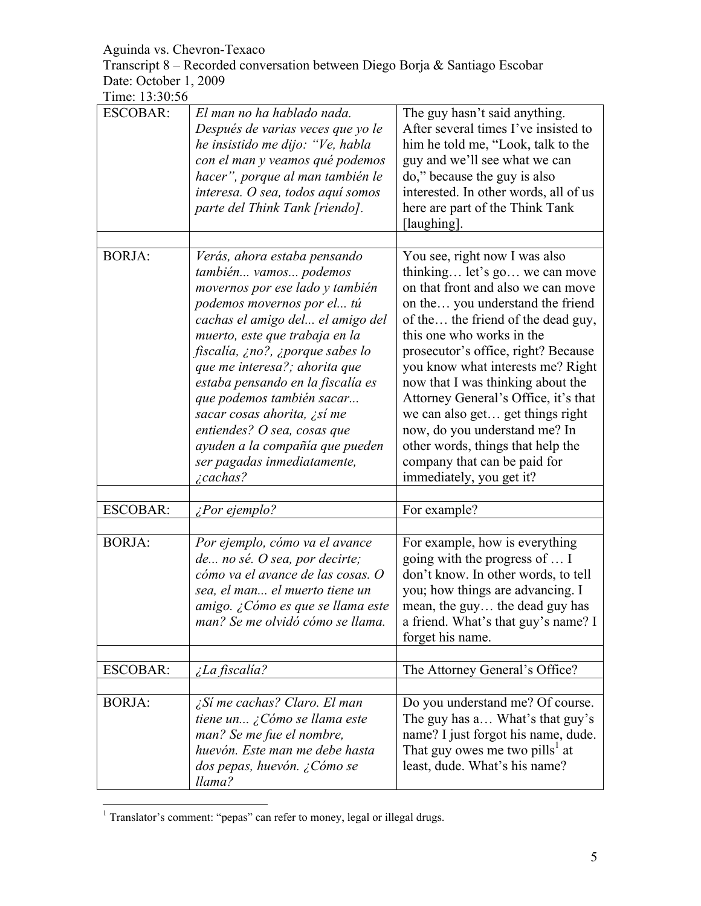Transcript 8 – Recorded conversation between Diego Borja & Santiago Escobar Date: October 1, 2009

| THIR. 1 <i>5.50.50</i> |                                                                                                                                                                                                                                                                                                                                                                                                                                                                                         |                                                                                                                                                                                                                                                                                                                                                                                                                                                                                                                                            |
|------------------------|-----------------------------------------------------------------------------------------------------------------------------------------------------------------------------------------------------------------------------------------------------------------------------------------------------------------------------------------------------------------------------------------------------------------------------------------------------------------------------------------|--------------------------------------------------------------------------------------------------------------------------------------------------------------------------------------------------------------------------------------------------------------------------------------------------------------------------------------------------------------------------------------------------------------------------------------------------------------------------------------------------------------------------------------------|
| <b>ESCOBAR:</b>        | El man no ha hablado nada.<br>Después de varias veces que yo le<br>he insistido me dijo: "Ve, habla<br>con el man y veamos qué podemos<br>hacer", porque al man también le<br>interesa. O sea, todos aquí somos<br>parte del Think Tank [riendo].                                                                                                                                                                                                                                       | The guy hasn't said anything.<br>After several times I've insisted to<br>him he told me, "Look, talk to the<br>guy and we'll see what we can<br>do," because the guy is also<br>interested. In other words, all of us<br>here are part of the Think Tank<br>[laughing].                                                                                                                                                                                                                                                                    |
|                        |                                                                                                                                                                                                                                                                                                                                                                                                                                                                                         |                                                                                                                                                                                                                                                                                                                                                                                                                                                                                                                                            |
| <b>BORJA:</b>          | Verás, ahora estaba pensando<br>también vamos podemos<br>movernos por ese lado y también<br>podemos movernos por el tú<br>cachas el amigo del el amigo del<br>muerto, este que trabaja en la<br>fiscalía, ¿no?, ¿porque sabes lo<br>que me interesa?; ahorita que<br>estaba pensando en la fiscalía es<br>que podemos también sacar<br>sacar cosas ahorita, ¿sí me<br>entiendes? O sea, cosas que<br>ayuden a la compañía que pueden<br>ser pagadas inmediatamente,<br><i>i</i> cachas? | You see, right now I was also<br>thinking let's go we can move<br>on that front and also we can move<br>on the you understand the friend<br>of the the friend of the dead guy,<br>this one who works in the<br>prosecutor's office, right? Because<br>you know what interests me? Right<br>now that I was thinking about the<br>Attorney General's Office, it's that<br>we can also get get things right<br>now, do you understand me? In<br>other words, things that help the<br>company that can be paid for<br>immediately, you get it? |
|                        |                                                                                                                                                                                                                                                                                                                                                                                                                                                                                         |                                                                                                                                                                                                                                                                                                                                                                                                                                                                                                                                            |
| <b>ESCOBAR:</b>        | ¿Por ejemplo?                                                                                                                                                                                                                                                                                                                                                                                                                                                                           | For example?                                                                                                                                                                                                                                                                                                                                                                                                                                                                                                                               |
| <b>BORJA:</b>          | Por ejemplo, cómo va el avance<br>de no sé. O sea, por decirte;<br>cómo va el avance de las cosas. O<br>sea, el man el muerto tiene un<br>amigo. ¿Cómo es que se llama este<br>man? Se me olvidó cómo se llama.                                                                                                                                                                                                                                                                         | For example, how is everything<br>going with the progress of  I<br>don't know. In other words, to tell<br>you; how things are advancing. I<br>mean, the guy the dead guy has<br>a friend. What's that guy's name? I<br>forget his name.                                                                                                                                                                                                                                                                                                    |
| <b>ESCOBAR:</b>        | <i>iLa fiscalía?</i>                                                                                                                                                                                                                                                                                                                                                                                                                                                                    | The Attorney General's Office?                                                                                                                                                                                                                                                                                                                                                                                                                                                                                                             |
|                        |                                                                                                                                                                                                                                                                                                                                                                                                                                                                                         |                                                                                                                                                                                                                                                                                                                                                                                                                                                                                                                                            |
| <b>BORJA:</b>          | ¿Sí me cachas? Claro. El man<br>tiene un ¿Cómo se llama este<br>man? Se me fue el nombre,<br>huevón. Este man me debe hasta<br>dos pepas, huevón. ¿Cómo se<br>llama?                                                                                                                                                                                                                                                                                                                    | Do you understand me? Of course.<br>The guy has a What's that guy's<br>name? I just forgot his name, dude.<br>That guy owes me two pills <sup>1</sup> at<br>least, dude. What's his name?                                                                                                                                                                                                                                                                                                                                                  |

<sup>&</sup>lt;sup>1</sup> Translator's comment: "pepas" can refer to money, legal or illegal drugs.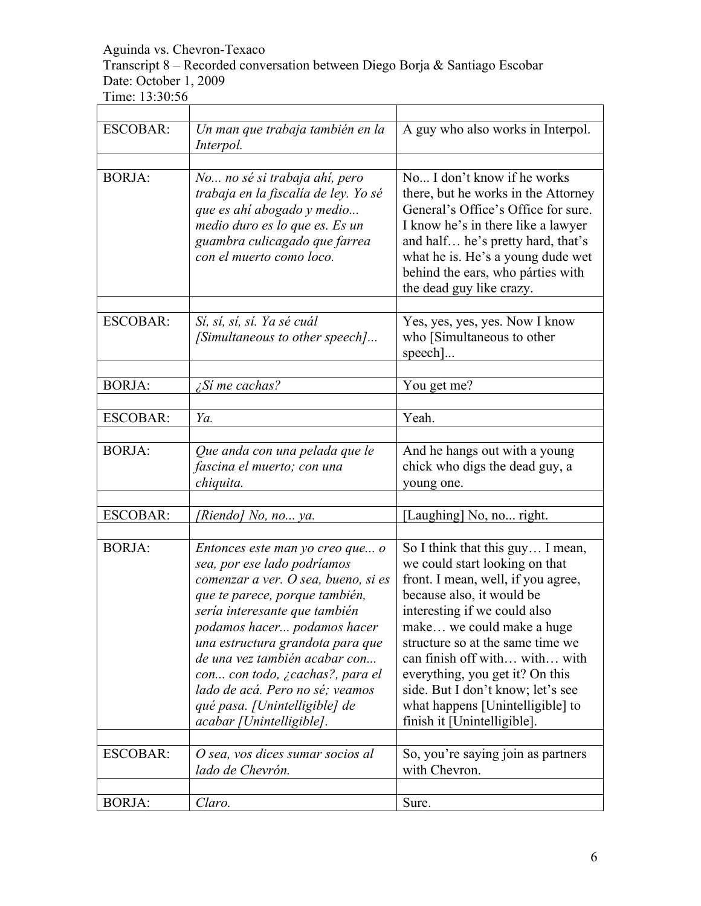Transcript 8 – Recorded conversation between Diego Borja & Santiago Escobar Date: October 1, 2009 

Time: 13:30:56

| <b>ESCOBAR:</b> | Un man que trabaja también en la<br>Interpol.                                                                                                                                                                                                                                                                                                                                                                   | A guy who also works in Interpol.                                                                                                                                                                                                                                                                                                                                                                                  |
|-----------------|-----------------------------------------------------------------------------------------------------------------------------------------------------------------------------------------------------------------------------------------------------------------------------------------------------------------------------------------------------------------------------------------------------------------|--------------------------------------------------------------------------------------------------------------------------------------------------------------------------------------------------------------------------------------------------------------------------------------------------------------------------------------------------------------------------------------------------------------------|
| <b>BORJA:</b>   | No no sé si trabaja ahí, pero<br>trabaja en la fiscalía de ley. Yo sé<br>que es ahí abogado y medio<br>medio duro es lo que es. Es un<br>guambra culicagado que farrea<br>con el muerto como loco.                                                                                                                                                                                                              | No I don't know if he works<br>there, but he works in the Attorney<br>General's Office's Office for sure.<br>I know he's in there like a lawyer<br>and half he's pretty hard, that's<br>what he is. He's a young dude wet<br>behind the ears, who párties with<br>the dead guy like crazy.                                                                                                                         |
| <b>ESCOBAR:</b> | Sí, sí, sí, sí. Ya sé cuál<br>[Simultaneous to other speech]                                                                                                                                                                                                                                                                                                                                                    | Yes, yes, yes, yes. Now I know<br>who [Simultaneous to other<br>$specch$ ]                                                                                                                                                                                                                                                                                                                                         |
| <b>BORJA:</b>   | $\zeta$ Sí me cachas?                                                                                                                                                                                                                                                                                                                                                                                           | You get me?                                                                                                                                                                                                                                                                                                                                                                                                        |
| <b>ESCOBAR:</b> | Ya.                                                                                                                                                                                                                                                                                                                                                                                                             | Yeah.                                                                                                                                                                                                                                                                                                                                                                                                              |
| <b>BORJA:</b>   | Que anda con una pelada que le<br>fascina el muerto; con una<br>chiquita.                                                                                                                                                                                                                                                                                                                                       | And he hangs out with a young<br>chick who digs the dead guy, a<br>young one.                                                                                                                                                                                                                                                                                                                                      |
| <b>ESCOBAR:</b> | [Riendo] No, no ya.                                                                                                                                                                                                                                                                                                                                                                                             | [Laughing] No, no right.                                                                                                                                                                                                                                                                                                                                                                                           |
| <b>BORJA:</b>   | Entonces este man yo creo que o<br>sea, por ese lado podríamos<br>comenzar a ver. O sea, bueno, si es<br>que te parece, porque también,<br>sería interesante que también<br>podamos hacer podamos hacer<br>una estructura grandota para que<br>de una vez también acabar con<br>con con todo, ¿cachas?, para el<br>lado de acá. Pero no sé; veamos<br>qué pasa. [Unintelligible] de<br>acabar [Unintelligible]. | So I think that this guy I mean,<br>we could start looking on that<br>front. I mean, well, if you agree,<br>because also, it would be<br>interesting if we could also<br>make we could make a huge<br>structure so at the same time we<br>can finish off with with with<br>everything, you get it? On this<br>side. But I don't know; let's see<br>what happens [Unintelligible] to<br>finish it [Unintelligible]. |
| <b>ESCOBAR:</b> | O sea, vos dices sumar socios al<br>lado de Chevrón.                                                                                                                                                                                                                                                                                                                                                            | So, you're saying join as partners<br>with Chevron.                                                                                                                                                                                                                                                                                                                                                                |
| <b>BORJA:</b>   | Claro.                                                                                                                                                                                                                                                                                                                                                                                                          | Sure.                                                                                                                                                                                                                                                                                                                                                                                                              |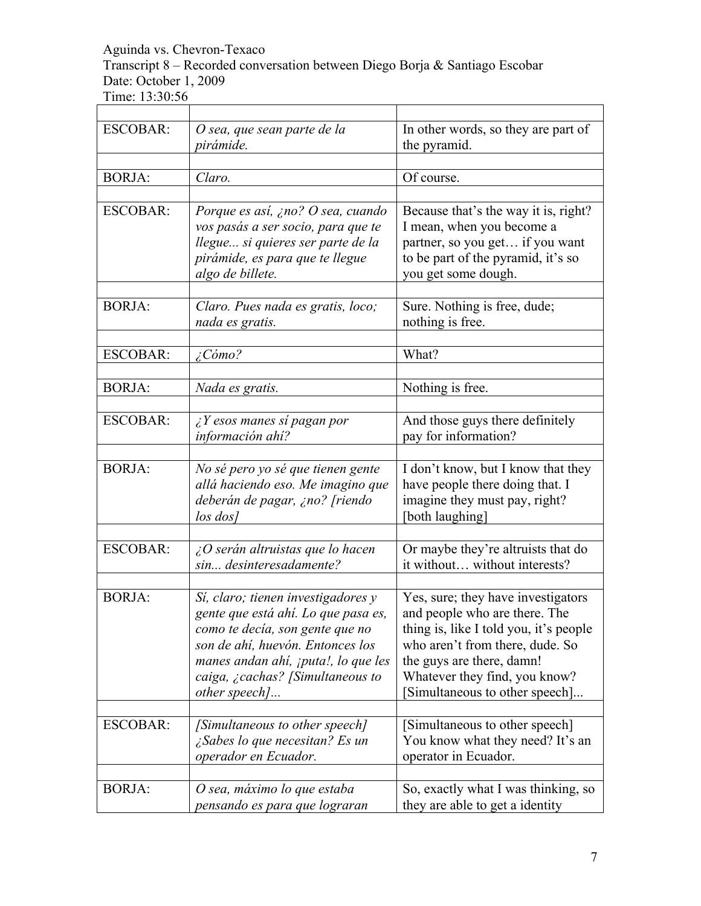Transcript 8 – Recorded conversation between Diego Borja & Santiago Escobar Date: October 1, 2009 

| 1 11110. 1 <i>0.0</i> 0.0 |                                                                                                                                                                                                                                                      |                                                                                                                                                                                                                                                  |
|---------------------------|------------------------------------------------------------------------------------------------------------------------------------------------------------------------------------------------------------------------------------------------------|--------------------------------------------------------------------------------------------------------------------------------------------------------------------------------------------------------------------------------------------------|
| <b>ESCOBAR:</b>           | O sea, que sean parte de la<br>pirámide.                                                                                                                                                                                                             | In other words, so they are part of<br>the pyramid.                                                                                                                                                                                              |
| <b>BORJA:</b>             | Claro.                                                                                                                                                                                                                                               | Of course.                                                                                                                                                                                                                                       |
| <b>ESCOBAR:</b>           | Porque es así, ¿no? O sea, cuando<br>vos pasás a ser socio, para que te<br>llegue si quieres ser parte de la<br>pirámide, es para que te llegue<br>algo de billete.                                                                                  | Because that's the way it is, right?<br>I mean, when you become a<br>partner, so you get if you want<br>to be part of the pyramid, it's so<br>you get some dough.                                                                                |
| <b>BORJA:</b>             | Claro. Pues nada es gratis, loco;<br>nada es gratis.                                                                                                                                                                                                 | Sure. Nothing is free, dude;<br>nothing is free.                                                                                                                                                                                                 |
| <b>ESCOBAR:</b>           | ¿Cómo?                                                                                                                                                                                                                                               | What?                                                                                                                                                                                                                                            |
| <b>BORJA:</b>             | Nada es gratis.                                                                                                                                                                                                                                      | Nothing is free.                                                                                                                                                                                                                                 |
| <b>ESCOBAR:</b>           | $\lambda$ Y esos manes sí pagan por<br>información ahí?                                                                                                                                                                                              | And those guys there definitely<br>pay for information?                                                                                                                                                                                          |
| <b>BORJA:</b>             | No sé pero yo sé que tienen gente<br>allá haciendo eso. Me imagino que<br>deberán de pagar, ¿no? [riendo<br>$\log$ dos]                                                                                                                              | I don't know, but I know that they<br>have people there doing that. I<br>imagine they must pay, right?<br>[both laughing]                                                                                                                        |
| <b>ESCOBAR:</b>           | $\angle O$ serán altruistas que lo hacen<br>sin desinteresadamente?                                                                                                                                                                                  | Or maybe they're altruists that do<br>it without without interests?                                                                                                                                                                              |
| <b>BORJA:</b>             | Sí, claro; tienen investigadores y<br>gente que está ahí. Lo que pasa es,<br>como te decía, son gente que no<br>son de ahí, huevón. Entonces los<br>manes andan ahí, <i>jputa!</i> , lo que les<br>caiga, ¿cachas? [Simultaneous to<br>other speech] | Yes, sure; they have investigators<br>and people who are there. The<br>thing is, like I told you, it's people<br>who aren't from there, dude. So<br>the guys are there, damn!<br>Whatever they find, you know?<br>Simultaneous to other speech]. |
| <b>ESCOBAR:</b>           | [Simultaneous to other speech]<br>¿Sabes lo que necesitan? Es un<br>operador en Ecuador.                                                                                                                                                             | [Simultaneous to other speech]<br>You know what they need? It's an<br>operator in Ecuador.                                                                                                                                                       |
| <b>BORJA:</b>             | O sea, máximo lo que estaba<br>pensando es para que lograran                                                                                                                                                                                         | So, exactly what I was thinking, so<br>they are able to get a identity                                                                                                                                                                           |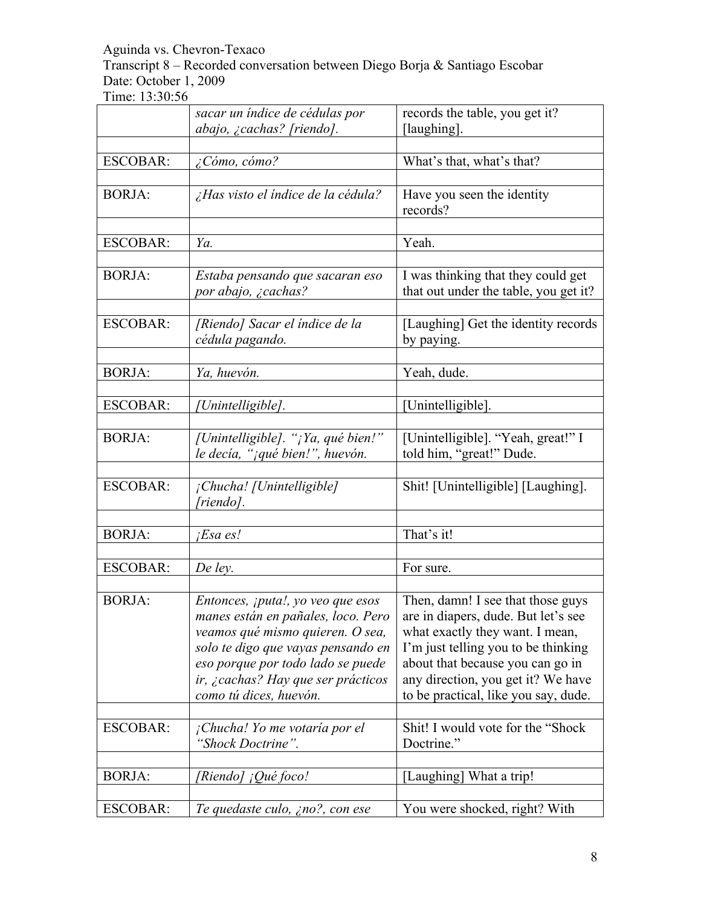Transcript 8 – Recorded conversation between Diego Borja & Santiago Escobar Date: October 1, 2009

|                 | sacar un índice de cédulas por                                                                                                                                                                                                                                 | records the table, you get it?                                                                                                                                                                                                                                       |
|-----------------|----------------------------------------------------------------------------------------------------------------------------------------------------------------------------------------------------------------------------------------------------------------|----------------------------------------------------------------------------------------------------------------------------------------------------------------------------------------------------------------------------------------------------------------------|
|                 | abajo, ¿cachas? [riendo].                                                                                                                                                                                                                                      | [laughing].                                                                                                                                                                                                                                                          |
| <b>ESCOBAR:</b> | $\zeta$ Cómo, cómo?                                                                                                                                                                                                                                            | What's that, what's that?                                                                                                                                                                                                                                            |
| <b>BORJA:</b>   | ¿Has visto el índice de la cédula?                                                                                                                                                                                                                             | Have you seen the identity<br>records?                                                                                                                                                                                                                               |
| <b>ESCOBAR:</b> | Ya.                                                                                                                                                                                                                                                            | Yeah.                                                                                                                                                                                                                                                                |
| <b>BORJA:</b>   | Estaba pensando que sacaran eso<br>por abajo, ¿cachas?                                                                                                                                                                                                         | I was thinking that they could get<br>that out under the table, you get it?                                                                                                                                                                                          |
| <b>ESCOBAR:</b> | [Riendo] Sacar el índice de la<br>cédula pagando.                                                                                                                                                                                                              | [Laughing] Get the identity records<br>by paying.                                                                                                                                                                                                                    |
| <b>BORJA:</b>   | Ya, huevón.                                                                                                                                                                                                                                                    | Yeah, dude.                                                                                                                                                                                                                                                          |
| <b>ESCOBAR:</b> | [Unintelligible].                                                                                                                                                                                                                                              | [Unintelligible].                                                                                                                                                                                                                                                    |
| <b>BORJA:</b>   | [Unintelligible]. "¡Ya, qué bien!"<br>le decía, "¡qué bien!", huevón.                                                                                                                                                                                          | [Unintelligible]. "Yeah, great!" I<br>told him, "great!" Dude.                                                                                                                                                                                                       |
| <b>ESCOBAR:</b> | ¡Chucha! [Unintelligible]<br>[riendo].                                                                                                                                                                                                                         | Shit! [Unintelligible] [Laughing].                                                                                                                                                                                                                                   |
| <b>BORJA:</b>   | $Esa$ es!                                                                                                                                                                                                                                                      | That's it!                                                                                                                                                                                                                                                           |
| <b>ESCOBAR:</b> | De ley.                                                                                                                                                                                                                                                        | For sure.                                                                                                                                                                                                                                                            |
| <b>BORJA:</b>   | Entonces, <i>jputa!</i> , yo veo que esos<br>manes están en pañales, loco. Pero<br>veamos qué mismo quieren. O sea,<br>solo te digo que vayas pensando en<br>eso porque por todo lado se puede<br>ir, ¿cachas? Hay que ser prácticos<br>como tú dices, huevón. | Then, damn! I see that those guys<br>are in diapers, dude. But let's see<br>what exactly they want. I mean,<br>I'm just telling you to be thinking<br>about that because you can go in<br>any direction, you get it? We have<br>to be practical, like you say, dude. |
| <b>ESCOBAR:</b> | ¡Chucha! Yo me votaría por el<br>'Shock Doctrine".                                                                                                                                                                                                             | Shit! I would vote for the "Shock"<br>Doctrine."                                                                                                                                                                                                                     |
| <b>BORJA:</b>   | [Riendo] ¡Qué foco!                                                                                                                                                                                                                                            | [Laughing] What a trip!                                                                                                                                                                                                                                              |
| <b>ESCOBAR:</b> | Te quedaste culo, ¿no?, con ese                                                                                                                                                                                                                                | You were shocked, right? With                                                                                                                                                                                                                                        |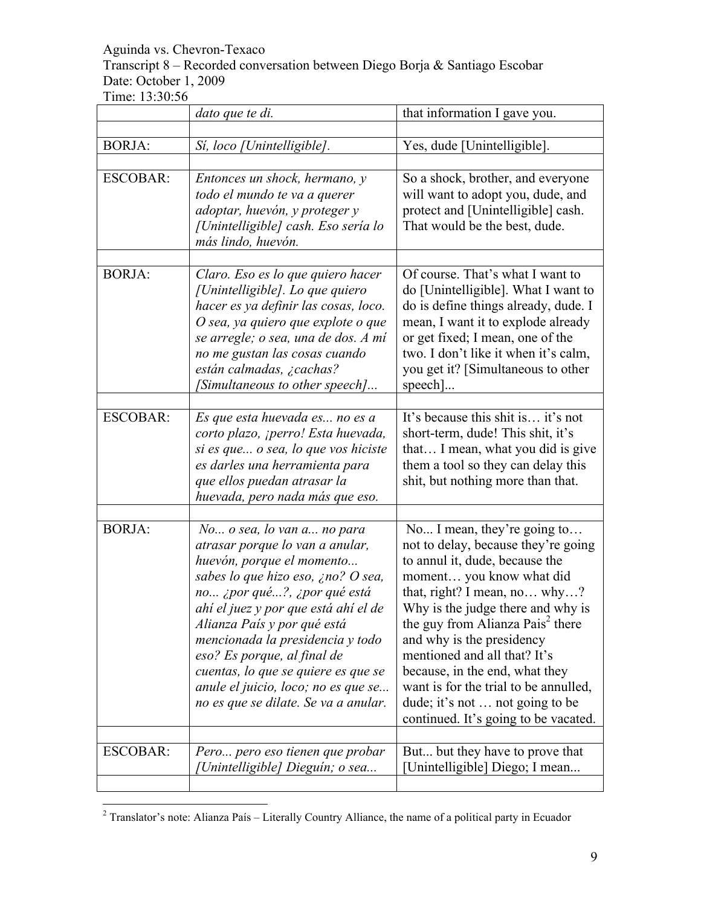Transcript 8 – Recorded conversation between Diego Borja & Santiago Escobar Date: October 1, 2009

|                 | dato que te di.                                                                                                                                                                                                                                                                                                                                                                                                                 | that information I gave you.                                                                                                                                                                                                                                                                                                                                                                                                                                             |
|-----------------|---------------------------------------------------------------------------------------------------------------------------------------------------------------------------------------------------------------------------------------------------------------------------------------------------------------------------------------------------------------------------------------------------------------------------------|--------------------------------------------------------------------------------------------------------------------------------------------------------------------------------------------------------------------------------------------------------------------------------------------------------------------------------------------------------------------------------------------------------------------------------------------------------------------------|
| <b>BORJA:</b>   | Sí, loco [Unintelligible].                                                                                                                                                                                                                                                                                                                                                                                                      | Yes, dude [Unintelligible].                                                                                                                                                                                                                                                                                                                                                                                                                                              |
| <b>ESCOBAR:</b> | Entonces un shock, hermano, y<br>todo el mundo te va a querer<br>adoptar, huevón, y proteger y<br>[Unintelligible] cash. Eso sería lo<br>más lindo, huevón.                                                                                                                                                                                                                                                                     | So a shock, brother, and everyone<br>will want to adopt you, dude, and<br>protect and [Unintelligible] cash.<br>That would be the best, dude.                                                                                                                                                                                                                                                                                                                            |
| <b>BORJA:</b>   | Claro. Eso es lo que quiero hacer<br>[Unintelligible]. Lo que quiero<br>hacer es ya definir las cosas, loco.<br>O sea, ya quiero que explote o que<br>se arregle; o sea, una de dos. A mí<br>no me gustan las cosas cuando<br>están calmadas, ¿cachas?<br>[Simultaneous to other speech]                                                                                                                                        | Of course. That's what I want to<br>do [Unintelligible]. What I want to<br>do is define things already, dude. I<br>mean, I want it to explode already<br>or get fixed; I mean, one of the<br>two. I don't like it when it's calm,<br>you get it? [Simultaneous to other<br>speech]                                                                                                                                                                                       |
| <b>ESCOBAR:</b> | Es que esta huevada es no es a<br>corto plazo, ¡perro! Esta huevada,<br>si es que o sea, lo que vos hiciste<br>es darles una herramienta para<br>que ellos puedan atrasar la<br>huevada, pero nada más que eso.                                                                                                                                                                                                                 | It's because this shit is it's not<br>short-term, dude! This shit, it's<br>that I mean, what you did is give<br>them a tool so they can delay this<br>shit, but nothing more than that.                                                                                                                                                                                                                                                                                  |
| <b>BORJA:</b>   | No o sea, lo van a no para<br>atrasar porque lo van a anular,<br>huevón, porque el momento<br>sabes lo que hizo eso, ¿no? O sea,<br>no ¿por qué?, ¿por qué está<br>ahí el juez y por que está ahí el de<br>Alianza País y por qué está<br>mencionada la presidencia y todo<br>eso? Es porque, al final de<br>cuentas, lo que se quiere es que se<br>anule el juicio, loco; no es que se<br>no es que se dilate. Se va a anular. | No I mean, they're going to<br>not to delay, because they're going<br>to annul it, dude, because the<br>moment you know what did<br>that, right? I mean, no why?<br>Why is the judge there and why is<br>the guy from Alianza Pais <sup>2</sup> there<br>and why is the presidency<br>mentioned and all that? It's<br>because, in the end, what they<br>want is for the trial to be annulled,<br>dude; it's not  not going to be<br>continued. It's going to be vacated. |
| <b>ESCOBAR:</b> | Pero pero eso tienen que probar<br>[Unintelligible] Dieguín; o sea                                                                                                                                                                                                                                                                                                                                                              | But but they have to prove that<br>[Unintelligible] Diego; I mean                                                                                                                                                                                                                                                                                                                                                                                                        |

 <sup>2</sup> Translator's note: Alianza País – Literally Country Alliance, the name of a political party in Ecuador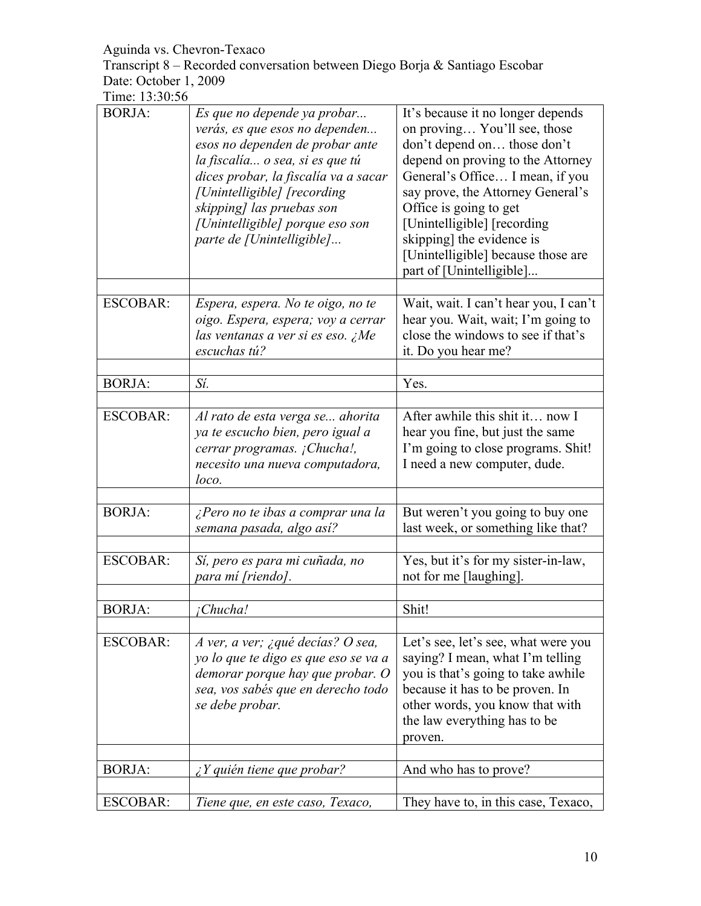Transcript 8 – Recorded conversation between Diego Borja & Santiago Escobar Date: October 1, 2009

| Time: 13:30:56 |  |
|----------------|--|
|----------------|--|

| <b>BORJA:</b>   | Es que no depende ya probar<br>verás, es que esos no dependen<br>esos no dependen de probar ante<br>la fiscalía o sea, si es que tú<br>dices probar, la fiscalía va a sacar<br>[Unintelligible] [recording]<br>skipping] las pruebas son<br>[Unintelligible] porque eso son<br>parte de [Unintelligible] | It's because it no longer depends<br>on proving You'll see, those<br>don't depend on those don't<br>depend on proving to the Attorney<br>General's Office I mean, if you<br>say prove, the Attorney General's<br>Office is going to get<br>[Unintelligible] [recording]<br>skipping] the evidence is<br>[Unintelligible] because those are<br>part of [Unintelligible] |
|-----------------|----------------------------------------------------------------------------------------------------------------------------------------------------------------------------------------------------------------------------------------------------------------------------------------------------------|------------------------------------------------------------------------------------------------------------------------------------------------------------------------------------------------------------------------------------------------------------------------------------------------------------------------------------------------------------------------|
| <b>ESCOBAR:</b> | Espera, espera. No te oigo, no te<br>oigo. Espera, espera; voy a cerrar<br>las ventanas a ver si es eso. ¿Me<br>escuchas tú?                                                                                                                                                                             | Wait, wait. I can't hear you, I can't<br>hear you. Wait, wait; I'm going to<br>close the windows to see if that's<br>it. Do you hear me?                                                                                                                                                                                                                               |
| <b>BORJA:</b>   | Sí.                                                                                                                                                                                                                                                                                                      | Yes.                                                                                                                                                                                                                                                                                                                                                                   |
|                 |                                                                                                                                                                                                                                                                                                          |                                                                                                                                                                                                                                                                                                                                                                        |
| <b>ESCOBAR:</b> | Al rato de esta verga se ahorita<br>ya te escucho bien, pero igual a<br>cerrar programas. ¡Chucha!,<br>necesito una nueva computadora,<br>loco.                                                                                                                                                          | After awhile this shit it now I<br>hear you fine, but just the same<br>I'm going to close programs. Shit!<br>I need a new computer, dude.                                                                                                                                                                                                                              |
|                 |                                                                                                                                                                                                                                                                                                          |                                                                                                                                                                                                                                                                                                                                                                        |
| <b>BORJA:</b>   | ¿Pero no te ibas a comprar una la<br>semana pasada, algo así?                                                                                                                                                                                                                                            | But weren't you going to buy one<br>last week, or something like that?                                                                                                                                                                                                                                                                                                 |
| <b>ESCOBAR:</b> | Sí, pero es para mi cuñada, no<br>para mí [riendo].                                                                                                                                                                                                                                                      | Yes, but it's for my sister-in-law,<br>not for me [laughing].                                                                                                                                                                                                                                                                                                          |
| <b>BORJA:</b>   | ¡Chucha!                                                                                                                                                                                                                                                                                                 | Shit!                                                                                                                                                                                                                                                                                                                                                                  |
|                 |                                                                                                                                                                                                                                                                                                          |                                                                                                                                                                                                                                                                                                                                                                        |
| <b>ESCOBAR:</b> | A ver, a ver; ¿qué decías? O sea,<br>yo lo que te digo es que eso se va a<br>demorar porque hay que probar. O<br>sea, vos sabés que en derecho todo<br>se debe probar.                                                                                                                                   | Let's see, let's see, what were you<br>saying? I mean, what I'm telling<br>you is that's going to take awhile<br>because it has to be proven. In<br>other words, you know that with<br>the law everything has to be<br>proven.                                                                                                                                         |
| <b>BORJA:</b>   | $\angle Y$ quién tiene que probar?                                                                                                                                                                                                                                                                       | And who has to prove?                                                                                                                                                                                                                                                                                                                                                  |
|                 |                                                                                                                                                                                                                                                                                                          |                                                                                                                                                                                                                                                                                                                                                                        |
| <b>ESCOBAR:</b> | Tiene que, en este caso, Texaco,                                                                                                                                                                                                                                                                         | They have to, in this case, Texaco,                                                                                                                                                                                                                                                                                                                                    |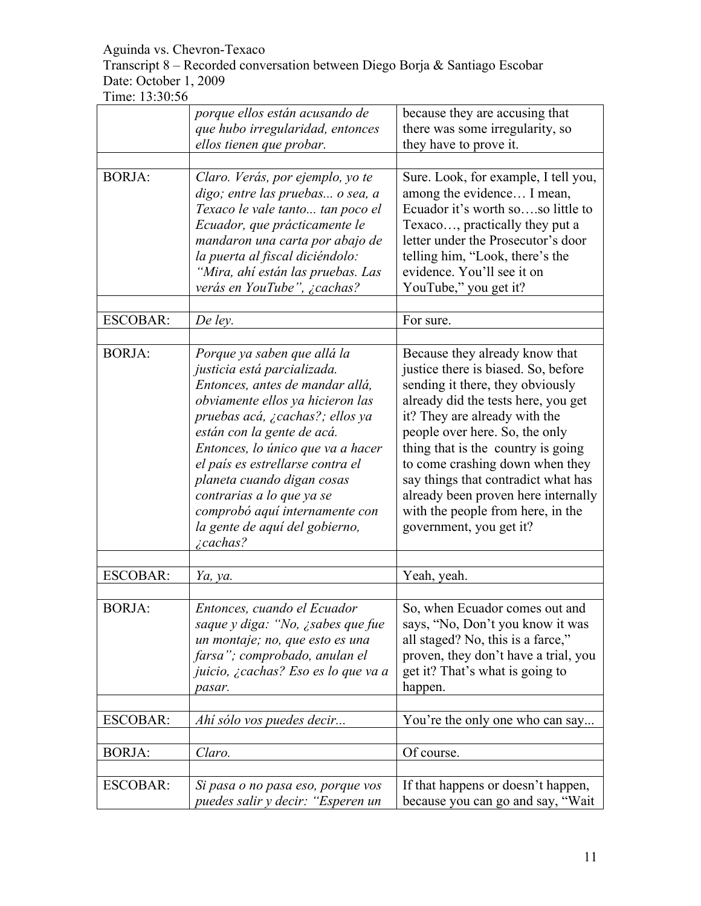Transcript 8 – Recorded conversation between Diego Borja & Santiago Escobar Date: October 1, 2009

|                 | porque ellos están acusando de<br>que hubo irregularidad, entonces<br>ellos tienen que probar.                                                                                                                                                                                                                                                                                                                                 | because they are accusing that<br>there was some irregularity, so<br>they have to prove it.                                                                                                                                                                                                                                                                                                                                                |
|-----------------|--------------------------------------------------------------------------------------------------------------------------------------------------------------------------------------------------------------------------------------------------------------------------------------------------------------------------------------------------------------------------------------------------------------------------------|--------------------------------------------------------------------------------------------------------------------------------------------------------------------------------------------------------------------------------------------------------------------------------------------------------------------------------------------------------------------------------------------------------------------------------------------|
| <b>BORJA:</b>   | Claro. Verás, por ejemplo, yo te<br>digo; entre las pruebas o sea, a<br>Texaco le vale tanto tan poco el<br>Ecuador, que prácticamente le<br>mandaron una carta por abajo de<br>la puerta al fiscal diciéndolo:<br>"Mira, ahí están las pruebas. Las<br>verás en YouTube", ¿cachas?                                                                                                                                            | Sure. Look, for example, I tell you,<br>among the evidence I mean,<br>Ecuador it's worth soso little to<br>Texaco, practically they put a<br>letter under the Prosecutor's door<br>telling him, "Look, there's the<br>evidence. You'll see it on<br>YouTube," you get it?                                                                                                                                                                  |
| <b>ESCOBAR:</b> | De ley.                                                                                                                                                                                                                                                                                                                                                                                                                        | For sure.                                                                                                                                                                                                                                                                                                                                                                                                                                  |
| <b>BORJA:</b>   | Porque ya saben que allá la<br>justicia está parcializada.<br>Entonces, antes de mandar allá,<br>obviamente ellos ya hicieron las<br>pruebas acá, ¿cachas?; ellos ya<br>están con la gente de acá.<br>Entonces, lo único que va a hacer<br>el país es estrellarse contra el<br>planeta cuando digan cosas<br>contrarias a lo que ya se<br>comprobó aquí internamente con<br>la gente de aquí del gobierno,<br><i>i</i> cachas? | Because they already know that<br>justice there is biased. So, before<br>sending it there, they obviously<br>already did the tests here, you get<br>it? They are already with the<br>people over here. So, the only<br>thing that is the country is going<br>to come crashing down when they<br>say things that contradict what has<br>already been proven here internally<br>with the people from here, in the<br>government, you get it? |
| <b>ESCOBAR:</b> | Ya, ya.                                                                                                                                                                                                                                                                                                                                                                                                                        | Yeah, yeah.                                                                                                                                                                                                                                                                                                                                                                                                                                |
| <b>BORJA:</b>   | Entonces, cuando el Ecuador<br>saque y diga: "No, ¿sabes que fue<br>un montaje; no, que esto es una<br>farsa"; comprobado, anulan el<br>juicio, ¿cachas? Eso es lo que va a<br>pasar.                                                                                                                                                                                                                                          | So, when Ecuador comes out and<br>says, "No, Don't you know it was<br>all staged? No, this is a farce,"<br>proven, they don't have a trial, you<br>get it? That's what is going to<br>happen.                                                                                                                                                                                                                                              |
| <b>ESCOBAR:</b> | Ahí sólo vos puedes decir                                                                                                                                                                                                                                                                                                                                                                                                      | You're the only one who can say                                                                                                                                                                                                                                                                                                                                                                                                            |
| <b>BORJA:</b>   | Claro.                                                                                                                                                                                                                                                                                                                                                                                                                         | Of course.                                                                                                                                                                                                                                                                                                                                                                                                                                 |
| <b>ESCOBAR:</b> | Si pasa o no pasa eso, porque vos<br>puedes salir y decir: "Esperen un                                                                                                                                                                                                                                                                                                                                                         | If that happens or doesn't happen,<br>because you can go and say, "Wait                                                                                                                                                                                                                                                                                                                                                                    |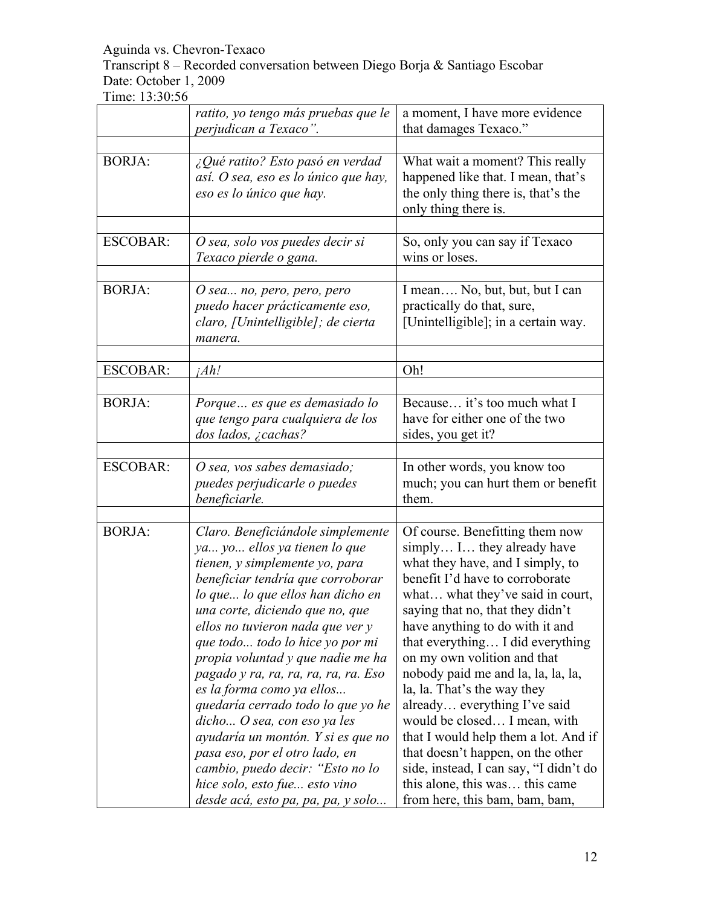Transcript 8 – Recorded conversation between Diego Borja & Santiago Escobar Date: October 1, 2009

|                 | ratito, yo tengo más pruebas que le<br>perjudican a Texaco".                                                                                                                                                                                                                                                                                                                                                                                                                                                                                                                                                                                             | a moment, I have more evidence<br>that damages Texaco."                                                                                                                                                                                                                                                                                                                                                                                                                                                                                                                                                                                            |
|-----------------|----------------------------------------------------------------------------------------------------------------------------------------------------------------------------------------------------------------------------------------------------------------------------------------------------------------------------------------------------------------------------------------------------------------------------------------------------------------------------------------------------------------------------------------------------------------------------------------------------------------------------------------------------------|----------------------------------------------------------------------------------------------------------------------------------------------------------------------------------------------------------------------------------------------------------------------------------------------------------------------------------------------------------------------------------------------------------------------------------------------------------------------------------------------------------------------------------------------------------------------------------------------------------------------------------------------------|
| <b>BORJA:</b>   | ¿Qué ratito? Esto pasó en verdad<br>así. O sea, eso es lo único que hay,<br>eso es lo único que hay.                                                                                                                                                                                                                                                                                                                                                                                                                                                                                                                                                     | What wait a moment? This really<br>happened like that. I mean, that's<br>the only thing there is, that's the<br>only thing there is.                                                                                                                                                                                                                                                                                                                                                                                                                                                                                                               |
| <b>ESCOBAR:</b> | O sea, solo vos puedes decir si<br>Texaco pierde o gana.                                                                                                                                                                                                                                                                                                                                                                                                                                                                                                                                                                                                 | So, only you can say if Texaco<br>wins or loses.                                                                                                                                                                                                                                                                                                                                                                                                                                                                                                                                                                                                   |
| <b>BORJA:</b>   | O sea no, pero, pero, pero<br>puedo hacer prácticamente eso,<br>claro, [Unintelligible]; de cierta<br>manera.                                                                                                                                                                                                                                                                                                                                                                                                                                                                                                                                            | I mean No, but, but, but I can<br>practically do that, sure,<br>[Unintelligible]; in a certain way.                                                                                                                                                                                                                                                                                                                                                                                                                                                                                                                                                |
| <b>ESCOBAR:</b> | ¡Ah!                                                                                                                                                                                                                                                                                                                                                                                                                                                                                                                                                                                                                                                     | Oh!                                                                                                                                                                                                                                                                                                                                                                                                                                                                                                                                                                                                                                                |
| <b>BORJA:</b>   | Porque es que es demasiado lo<br>que tengo para cualquiera de los<br>dos lados, ¿cachas?                                                                                                                                                                                                                                                                                                                                                                                                                                                                                                                                                                 | Because it's too much what I<br>have for either one of the two<br>sides, you get it?                                                                                                                                                                                                                                                                                                                                                                                                                                                                                                                                                               |
| <b>ESCOBAR:</b> | O sea, vos sabes demasiado;<br>puedes perjudicarle o puedes<br>beneficiarle.                                                                                                                                                                                                                                                                                                                                                                                                                                                                                                                                                                             | In other words, you know too<br>much; you can hurt them or benefit<br>them.                                                                                                                                                                                                                                                                                                                                                                                                                                                                                                                                                                        |
| <b>BORJA:</b>   | Claro. Beneficiándole simplemente<br>ya yo ellos ya tienen lo que<br>tienen, y simplemente yo, para<br>beneficiar tendría que corroborar<br>lo que lo que ellos han dicho en<br>una corte, diciendo que no, que<br>ellos no tuvieron nada que ver y<br>que todo todo lo hice yo por mi<br>propia voluntad y que nadie me ha<br>pagado y ra, ra, ra, ra, ra, ra. Eso<br>es la forma como ya ellos<br>quedaría cerrado todo lo que yo he<br>dicho O sea, con eso ya les<br>ayudaría un montón. Y si es que no<br>pasa eso, por el otro lado, en<br>cambio, puedo decir: "Esto no lo<br>hice solo, esto fue esto vino<br>desde acá, esto pa, pa, pa, y solo | Of course. Benefitting them now<br>simply I they already have<br>what they have, and I simply, to<br>benefit I'd have to corroborate<br>what what they've said in court,<br>saying that no, that they didn't<br>have anything to do with it and<br>that everything I did everything<br>on my own volition and that<br>nobody paid me and la, la, la, la,<br>la, la. That's the way they<br>already everything I've said<br>would be closed I mean, with<br>that I would help them a lot. And if<br>that doesn't happen, on the other<br>side, instead, I can say, "I didn't do<br>this alone, this was this came<br>from here, this bam, bam, bam, |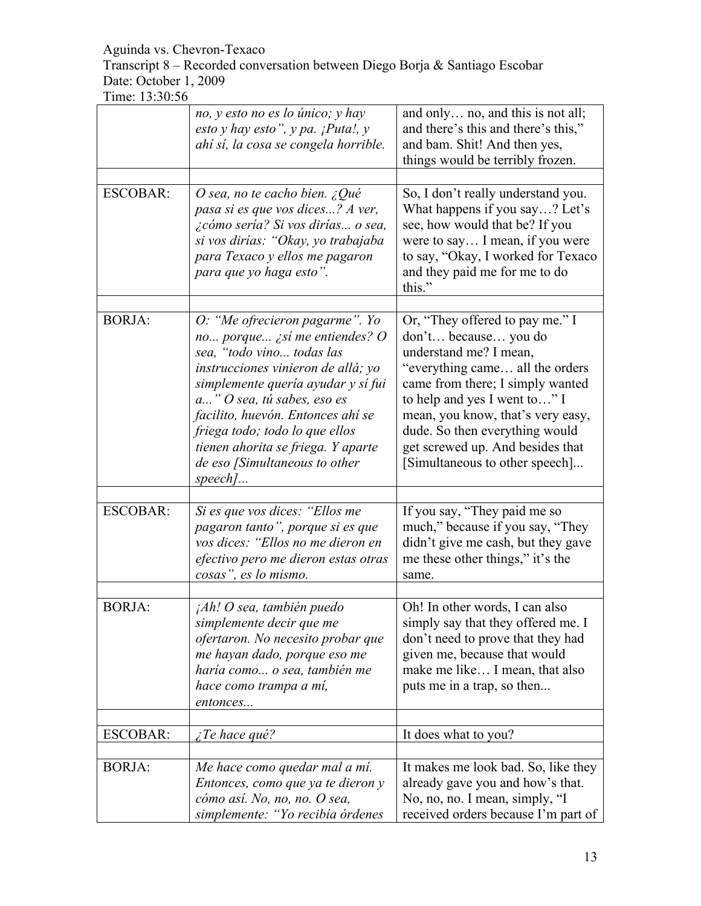Transcript 8 – Recorded conversation between Diego Borja & Santiago Escobar Date: October 1, 2009

|                 | no, y esto no es lo único; y hay<br>esto y hay esto", y pa. $i$ Puta!, y<br>ahí sí, la cosa se congela horrible.                                                                                                                                                                                                                                                | and only no, and this is not all;<br>and there's this and there's this,"<br>and bam. Shit! And then yes,<br>things would be terribly frozen.                                                                                                                                                                                           |
|-----------------|-----------------------------------------------------------------------------------------------------------------------------------------------------------------------------------------------------------------------------------------------------------------------------------------------------------------------------------------------------------------|----------------------------------------------------------------------------------------------------------------------------------------------------------------------------------------------------------------------------------------------------------------------------------------------------------------------------------------|
| <b>ESCOBAR:</b> | O sea, no te cacho bien. ¿Qué<br>pasa si es que vos dices? A ver,<br><i>i</i> cómo sería? Si vos dirías o sea,<br>si vos dirías: "Okay, yo trabajaba<br>para Texaco y ellos me pagaron<br>para que yo haga esto".                                                                                                                                               | So, I don't really understand you.<br>What happens if you say? Let's<br>see, how would that be? If you<br>were to say I mean, if you were<br>to say, "Okay, I worked for Texaco<br>and they paid me for me to do<br>this."                                                                                                             |
| <b>BORJA:</b>   | O: "Me ofrecieron pagarme". Yo<br>no porque ¿sí me entiendes? O<br>sea, "todo vino todas las<br>instrucciones vinieron de allá; yo<br>simplemente quería ayudar y sí fui<br>a" O sea, tú sabes, eso es<br>facilito, huevón. Entonces ahí se<br>friega todo; todo lo que ellos<br>tienen ahorita se friega. Y aparte<br>de eso [Simultaneous to other<br>$speed$ | Or, "They offered to pay me." I<br>don't because you do<br>understand me? I mean,<br>"everything came all the orders"<br>came from there; I simply wanted<br>to help and yes I went to" I<br>mean, you know, that's very easy,<br>dude. So then everything would<br>get screwed up. And besides that<br>[Simultaneous to other speech] |
| <b>ESCOBAR:</b> | Si es que vos dices: "Ellos me<br>pagaron tanto", porque si es que<br>vos dices: "Ellos no me dieron en<br>efectivo pero me dieron estas otras<br>cosas", es lo mismo.                                                                                                                                                                                          | If you say, "They paid me so<br>much," because if you say, "They<br>didn't give me cash, but they gave<br>me these other things," it's the<br>same.                                                                                                                                                                                    |
| <b>BORJA:</b>   | $iAh!$ O sea, también puedo<br>simplemente decir que me<br>ofertaron. No necesito probar que<br>me hayan dado, porque eso me<br>haría como o sea, también me<br>hace como trampa a mí,<br>entonces                                                                                                                                                              | Oh! In other words, I can also<br>simply say that they offered me. I<br>don't need to prove that they had<br>given me, because that would<br>make me like I mean, that also<br>puts me in a trap, so then                                                                                                                              |
| <b>ESCOBAR:</b> | <i>i</i> Te hace qué?                                                                                                                                                                                                                                                                                                                                           | It does what to you?                                                                                                                                                                                                                                                                                                                   |
| <b>BORJA:</b>   | Me hace como quedar mal a mí.<br>Entonces, como que ya te dieron y<br>cómo así. No, no, no. O sea,<br>simplemente: "Yo recibía órdenes                                                                                                                                                                                                                          | It makes me look bad. So, like they<br>already gave you and how's that.<br>No, no, no. I mean, simply, "I<br>received orders because I'm part of                                                                                                                                                                                       |